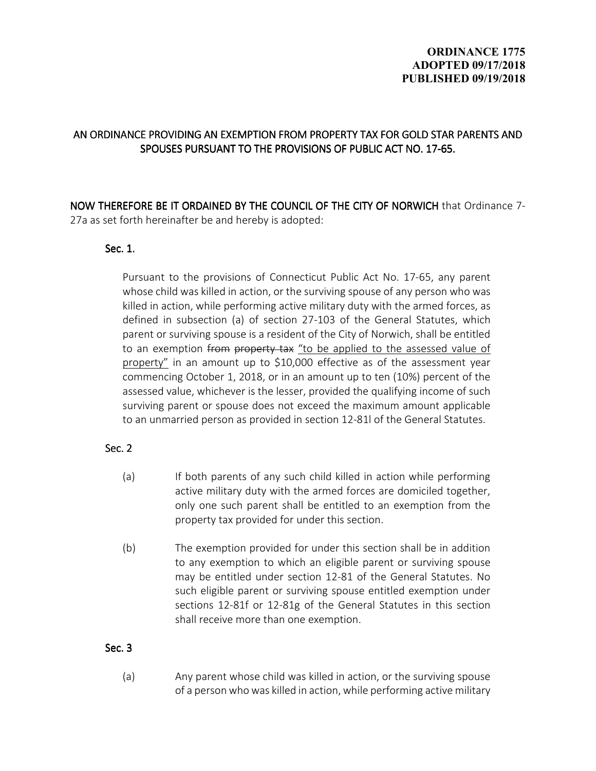# **ORDINANCE 1775 ADOPTED 09/17/2018 PUBLISHED 09/19/2018**

# AN ORDINANCE PROVIDING AN EXEMPTION FROM PROPERTY TAX FOR GOLD STAR PARENTS AND SPOUSES PURSUANT TO THE PROVISIONS OF PUBLIC ACT NO. 17-65.

NOW THEREFORE BE IT ORDAINED BY THE COUNCIL OF THE CITY OF NORWICH that Ordinance 7-27a as set forth hereinafter be and hereby is adopted:

#### Sec.  $1.$

Pursuant to the provisions of Connecticut Public Act No. 17-65, any parent whose child was killed in action, or the surviving spouse of any person who was killed in action, while performing active military duty with the armed forces, as defined in subsection (a) of section 27-103 of the General Statutes, which parent or surviving spouse is a resident of the City of Norwich, shall be entitled to an exemption from property tax "to be applied to the assessed value of property" in an amount up to \$10,000 effective as of the assessment year commencing October 1, 2018, or in an amount up to ten (10%) percent of the assessed value, whichever is the lesser, provided the qualifying income of such surviving parent or spouse does not exceed the maximum amount applicable to an unmarried person as provided in section 12-81l of the General Statutes.

## Sec. 2

- (a) If both parents of any such child killed in action while performing active military duty with the armed forces are domiciled together, only one such parent shall be entitled to an exemption from the property tax provided for under this section.
- (b) The exemption provided for under this section shall be in addition to any exemption to which an eligible parent or surviving spouse may be entitled under section 12-81 of the General Statutes. No such eligible parent or surviving spouse entitled exemption under sections 12-81f or 12-81g of the General Statutes in this section shall receive more than one exemption.

## Sec. 3

(a) Any parent whose child was killed in action, or the surviving spouse of a person who was killed in action, while performing active military